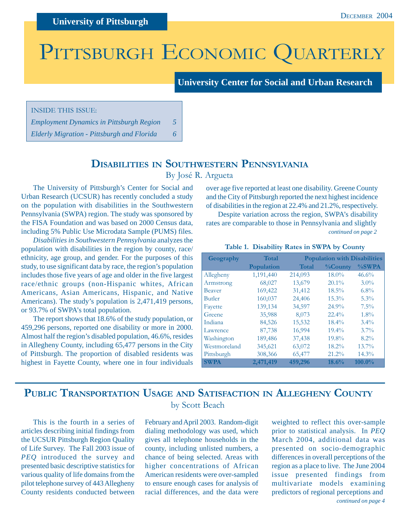# PITTSBURGH ECONOMIC QUARTERLY

#### **University Center for Social and Urban Research**

INSIDE THIS ISSUE:

*Employment Dynamics in Pittsburgh Region 5 Elderly Migration - Pittsburgh and Florida 6*

### **DISABILITIES IN SOUTHWESTERN PENNSYLVANIA** By José R. Argueta

The University of Pittsburgh's Center for Social and Urban Research (UCSUR) has recently concluded a study on the population with disabilities in the Southwestern Pennsylvania (SWPA) region. The study was sponsored by the FISA Foundation and was based on 2000 Census data, including 5% Public Use Microdata Sample (PUMS) files.

*Disabilities in Southwestern Pennsylvania* analyzes the population with disabilities in the region by county, race/ ethnicity, age group, and gender. For the purposes of this study, to use significant data by race, the region's population includes those five years of age and older in the five largest race/ethnic groups (non-Hispanic whites, African Americans, Asian Americans, Hispanic, and Native Americans). The study's population is 2,471,419 persons, or 93.7% of SWPA's total population.

The report shows that 18.6% of the study population, or 459,296 persons, reported one disability or more in 2000. Almost half the region's disabled population, 46.6%, resides in Allegheny County, including 65,477 persons in the City of Pittsburgh. The proportion of disabled residents was highest in Fayette County, where one in four individuals

over age five reported at least one disability. Greene County and the City of Pittsburgh reported the next highest incidence of disabilities in the region at 22.4% and 21.2%, respectively.

*continued on page 2* Despite variation across the region, SWPA's disability rates are comparable to those in Pennsylvania and slightly

#### **Table 1. Disability Rates in SWPA by County**

| Geography     | <b>Total</b> | <b>Population with Disabilities</b> |                |           |
|---------------|--------------|-------------------------------------|----------------|-----------|
|               | Population   | <b>Total</b>                        | <b>%County</b> | %SWPA     |
| Allegheny     | 1,191,440    | 214,093                             | 18.0%          | 46.6%     |
| Armstrong     | 68,027       | 13,679                              | $20.1\%$       | $3.0\%$   |
| <b>Beaver</b> | 169,422      | 31,412                              | $18.5\%$       | $6.8\%$   |
| <b>Butler</b> | 160,037      | 24,406                              | 15.3%          | 5.3%      |
| Fayette       | 139,134      | 34,597                              | 24.9%          | $7.5\%$   |
| Greene        | 35,988       | 8,073                               | $22.4\%$       | $1.8\%$   |
| Indiana       | 84,526       | 15,532                              | $18.4\%$       | $3.4\%$   |
| Lawrence      | 87,738       | 16,994                              | $19.4\%$       | $3.7\%$   |
| Washington    | 189,486      | 37,438                              | 19.8%          | $8.2\%$   |
| Westmoreland  | 345,621      | 63,072                              | 18.2%          | 13.7%     |
| Pittsburgh    | 308,366      | 65,477                              | 21.2%          | 14.3%     |
| <b>SWPA</b>   | 2,471,419    | 459,296                             | 18.6%          | $100.0\%$ |

### **PUBLIC TRANSPORTATION USAGE AND SATISFACTION IN ALLEGHENY COUNTY** by Scott Beach

This is the fourth in a series of articles describing initial findings from the UCSUR Pittsburgh Region Quality of Life Survey. The Fall 2003 issue of *PEQ* introduced the survey and presented basic descriptive statistics for various quality of life domains from the pilot telephone survey of 443 Allegheny County residents conducted between

February and April 2003. Random-digit dialing methodology was used, which gives all telephone households in the county, including unlisted numbers, a chance of being selected. Areas with higher concentrations of African American residents were over-sampled to ensure enough cases for analysis of racial differences, and the data were

*continued on page 4* weighted to reflect this over-sample prior to statistical analysis. In *PEQ* March 2004, additional data was presented on socio-demographic differences in overall perceptions of the region as a place to live. The June 2004 issue presented findings from multivariate models examining predictors of regional perceptions and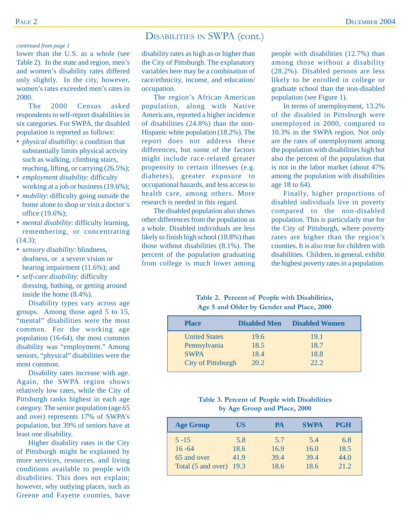### DISABILITIES IN SWPA (cont.)

#### *continued from page 1*

lower than the U.S. as a whole (see Table 2). In the state and region, men's and women's disability rates differed only slightly. In the city, however, women's rates exceeded men's rates in 2000.

The 2000 Census asked respondents to self-report disabilities in six categories. For SWPA, the disabled population is reported as follows:

- *physical disability*: a condition that substantially limits physical activity such as walking, climbing stairs, reaching, lifting, or carrying (26.5%);
- *employment disability*: difficulty working at a job or business (19.6%);
- *mobility*: difficulty going outside the home alone to shop or visit a doctor's office (19.6%);
- *mental disability*: difficulty learning, remembering, or concentrating (14.3);
- s*ensory disability*: blindness, deafness, or a severe vision or hearing impairment (11.6%); and
- *self-care disability*: difficulty dressing, bathing, or getting around inside the home (8.4%).

Disability types vary across age groups. Among those aged 5 to 15, "mental" disabilities were the most common. For the working age population (16-64), the most common disability was "employment." Among seniors, "physical" disabilities were the most common.

Disability rates increase with age. Again, the SWPA region shows relatively low rates, while the City of Pittsburgh ranks highest in each age category. The senior population (age 65 and over) represents 17% of SWPA's population, but 39% of seniors have at least one disability.

Higher disability rates in the City of Pittsburgh might be explained by more services, resources, and living conditions available to people with disabilities. This does not explain; however, why outlying places, such as Greene and Fayette counties, have

disability rates as high as or higher than the City of Pittsburgh. The explanatory variables here may be a combination of race/ethnicity, income, and education/ occupation.

The region's African American population, along with Native Americans, reported a higher incidence of disabilities (24.8%) than the non-Hispanic white population (18.2%). The report does not address these differences, but some of the factors might include race-related greater propensity to certain illnesses (e.g. diabetes), greater exposure to occupational hazards, and less access to health care, among others. More research is needed in this regard.

The disabled population also shows other differences from the population as a whole. Disabled individuals are less likely to finish high school (18.8%) than those without disabilities (8.1%). The percent of the population graduating from college is much lower among

people with disabilities (12.7%) than among those without a disability (28.2%). Disabled persons are less likely to be enrolled in college or graduate school than the non-disabled population (see Figure 1).

In terms of unemployment, 13.2% of the disabled in Pittsburgh were unemployed in 2000, compared to 10.3% in the SWPA region. Not only are the rates of unemployment among the population with disabilities high but also the percent of the population that is not in the labor market (about 47% among the population with disabilities age 18 to 64).

Finally, higher proportions of disabled individuals live in poverty compared to the non-disabled population. This is particularly true for the City of Pittsburgh, where poverty rates are higher than the region's counties. It is also true for children with disabilities. Children, in general, exhibit the highest poverty rates in a population.

**Table 2. Percent of People with Disabilities, Age 5 and Older by Gender and Place, 2000**

| <b>Place</b>              | <b>Disabled Men</b> | <b>Disabled Women</b> |
|---------------------------|---------------------|-----------------------|
| <b>United States</b>      | 19.6                | 19.1                  |
| Pennsylvania              | 18.5                | 18.7                  |
| <b>SWPA</b>               | 18.4                | 18.8                  |
| <b>City of Pittsburgh</b> | 20.2                | 22.2                  |

#### **Table 3. Percent of People with Disabilities by Age Group and Place, 2000**

| <b>Age Group</b>        | US   | PA   | <b>SWPA</b> | <b>PGH</b> |
|-------------------------|------|------|-------------|------------|
| $5 - 15$                | 5.8  | 5.7  | 5.4         | 6.8        |
| $16 - 64$               | 18.6 | 16.9 | 16.0        | 18.5       |
| 65 and over             | 41.9 | 39.4 | 39.4        | 44.0       |
| Total (5 and over) 19.3 |      | 18.6 | 18.6        | 21.2       |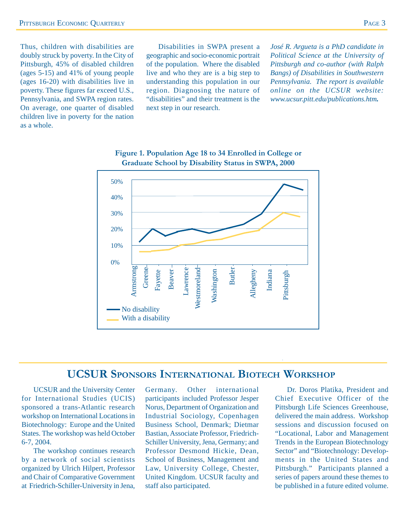Thus, children with disabilities are doubly struck by poverty. In the City of Pittsburgh, 45% of disabled children (ages 5-15) and 41% of young people (ages 16-20) with disabilities live in poverty. These figures far exceed U.S., Pennsylvania, and SWPA region rates. On average, one quarter of disabled children live in poverty for the nation as a whole.

Disabilities in SWPA present a geographic and socio-economic portrait of the population. Where the disabled live and who they are is a big step to understanding this population in our region. Diagnosing the nature of "disabilities" and their treatment is the next step in our research.

*José R. Argueta is a PhD candidate in Political Science at the University of Pittsburgh and co-author (with Ralph Bangs) of Disabilities in Southwestern Pennsylvania. The report is available online on the UCSUR website: www.ucsur.pitt.edu/publications.htm.*





### **UCSUR SPONSORS INTERNATIONAL BIOTECH WORKSHOP**

UCSUR and the University Center for International Studies (UCIS) sponsored a trans-Atlantic research workshop on International Locations in Biotechnology: Europe and the United States. The workshop was held October 6-7, 2004.

The workshop continues research by a network of social scientists organized by Ulrich Hilpert, Professor and Chair of Comparative Government at Friedrich-Schiller-University in Jena,

Germany. Other international participants included Professor Jesper Norus, Department of Organization and Industrial Sociology, Copenhagen Business School, Denmark; Dietmar Bastian, Associate Professor, Friedrich-Schiller University, Jena, Germany; and Professor Desmond Hickie, Dean, School of Business, Management and Law, University College, Chester, United Kingdom. UCSUR faculty and staff also participated.

Dr. Doros Platika, President and Chief Executive Officer of the Pittsburgh Life Sciences Greenhouse, delivered the main address. Workshop sessions and discussion focused on "Locational, Labor and Management Trends in the European Biotechnology Sector" and "Biotechnology: Developments in the United States and Pittsburgh." Participants planned a series of papers around these themes to be published in a future edited volume.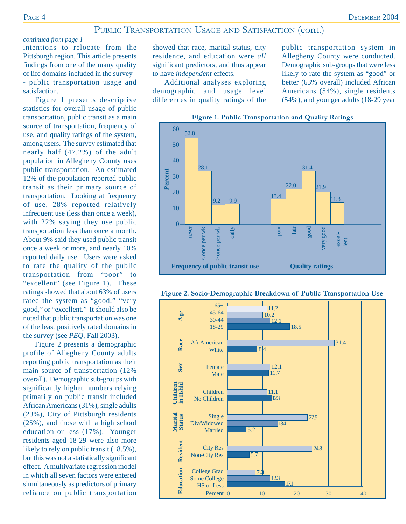### PUBLIC TRANSPORTATION USAGE AND SATISFACTION (cont.)

#### *continued from page 1*

intentions to relocate from the Pittsburgh region. This article presents findings from one of the many quality of life domains included in the survey - - public transportation usage and satisfaction.

Figure 1 presents descriptive statistics for overall usage of public transportation, public transit as a main source of transportation, frequency of use, and quality ratings of the system, among users. The survey estimated that nearly half (47.2%) of the adult population in Allegheny County uses public transportation. An estimated 12% of the population reported public transit as their primary source of transportation. Looking at frequency of use, 28% reported relatively infrequent use (less than once a week), with 22% saying they use public transportation less than once a month. About 9% said they used public transit once a week or more, and nearly 10% reported daily use. Users were asked to rate the quality of the public transportation from "poor" to "excellent" (see Figure 1). These ratings showed that about 63% of users rated the system as "good," "very good," or "excellent." It should also be noted that public transportation was one of the least positively rated domains in the survey (see *PEQ,* Fall 2003).

Figure 2 presents a demographic profile of Allegheny County adults reporting public transportation as their main source of transportation (12% overall). Demographic sub-groups with significantly higher numbers relying primarily on public transit included African Americans (31%), single adults (23%), City of Pittsburgh residents (25%), and those with a high school education or less (17%). Younger residents aged 18-29 were also more likely to rely on public transit (18.5%), but this was not a statistically significant effect. A multivariate regression model in which all seven factors were entered simultaneously as predictors of primary reliance on public transportation showed that race, marital status, city residence, and education were *all* significant predictors, and thus appear to have *independent* effects.

Additional analyses exploring demographic and usage level differences in quality ratings of the public transportation system in Allegheny County were conducted. Demographic sub-groups that were less likely to rate the system as "good" or better (63% overall) included African Americans (54%), single residents (54%), and younger adults (18-29 year



**Figure 1. Public Transportation and Quality Ratings**



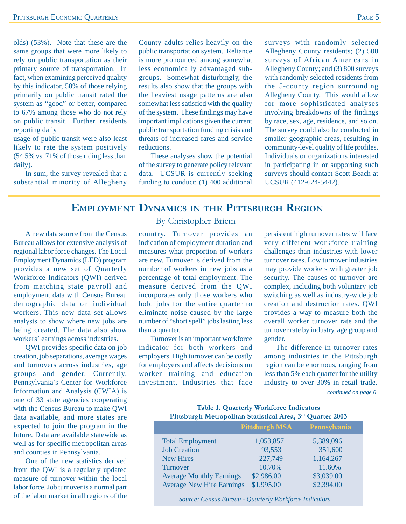olds) (53%). Note that these are the same groups that were more likely to rely on public transportation as their primary source of transportation. In fact, when examining perceived quality by this indicator, 58% of those relying primarily on public transit rated the system as "good" or better, compared to 67% among those who do not rely on public transit. Further, residents reporting daily

usage of public transit were also least likely to rate the system positively (54.5% vs. 71% of those riding less than daily).

In sum, the survey revealed that a substantial minority of Allegheny

County adults relies heavily on the public transportation system. Reliance is more pronounced among somewhat less economically advantaged subgroups. Somewhat disturbingly, the results also show that the groups with the heaviest usage patterns are also somewhat less satisfied with the quality of the system. These findings may have important implications given the current public transportation funding crisis and threats of increased fares and service reductions.

These analyses show the potential of the survey to generate policy relevant data. UCSUR is currently seeking funding to conduct: (1) 400 additional

surveys with randomly selected Allegheny County residents; (2) 500 surveys of African Americans in Allegheny County; and (3) 800 surveys with randomly selected residents from the 5-county region surrounding Allegheny County. This would allow for more sophisticated analyses involving breakdowns of the findings by race, sex, age, residence, and so on. The survey could also be conducted in smaller geographic areas, resulting in community-level quality of life profiles. Individuals or organizations interested in participating in or supporting such surveys should contact Scott Beach at UCSUR (412-624-5442).

### **EMPLOYMENT DYNAMICS IN THE PITTSBURGH REGION**

A new data source from the Census Bureau allows for extensive analysis of regional labor force changes. The Local Employment Dynamics (LED) program provides a new set of Quarterly Workforce Indicators (QWI) derived from matching state payroll and employment data with Census Bureau demographic data on individual workers. This new data set allows analysts to show where new jobs are being created. The data also show workers' earnings across industries.

QWI provides specific data on job creation, job separations, average wages and turnovers across industries, age groups and gender. Currently, Pennsylvania's Center for Workforce Information and Analysis (CWIA) is one of 33 state agencies cooperating with the Census Bureau to make QWI data available, and more states are expected to join the program in the future. Data are available statewide as well as for specific metropolitan areas and counties in Pennsylvania.

One of the new statistics derived from the QWI is a regularly updated measure of turnover within the local labor force. Job turnover is a normal part of the labor market in all regions of the

#### By Christopher Briem

country. Turnover provides an indication of employment duration and measures what proportion of workers are new. Turnover is derived from the number of workers in new jobs as a percentage of total employment. The measure derived from the QWI incorporates only those workers who hold jobs for the entire quarter to eliminate noise caused by the large number of "short spell" jobs lasting less than a quarter.

Turnover is an important workforce indicator for both workers and employers. High turnover can be costly for employers and affects decisions on worker training and education investment. Industries that face

persistent high turnover rates will face very different workforce training challenges than industries with lower turnover rates. Low turnover industries may provide workers with greater job security. The causes of turnover are complex, including both voluntary job switching as well as industry-wide job creation and destruction rates. QWI provides a way to measure both the overall worker turnover rate and the turnover rate by industry, age group and gender.

The difference in turnover rates among industries in the Pittsburgh region can be enormous, ranging from less than 5% each quarter for the utility industry to over 30% in retail trade.

*continued on page 6*

#### **Table 1. Quarterly Workforce Indicators Pittsburgh Metropolitan Statistical Area, 3rd Quarter 2003**

|                                  | <b>Pittsburgh MSA</b> | <b>Pennsylvania</b> |
|----------------------------------|-----------------------|---------------------|
| <b>Total Employment</b>          | 1,053,857             | 5,389,096           |
| <b>Job Creation</b>              | 93,553                | 351,600             |
| <b>New Hires</b>                 | 227,749               | 1,164,267           |
| Turnover                         | 10.70%                | 11.60%              |
| <b>Average Monthly Earnings</b>  | \$2,986.00            | \$3,039.00          |
| <b>Average New Hire Earnings</b> | \$1,995.00            | \$2,394.00          |
|                                  |                       |                     |

 *Source: Census Bureau - Quarterly Workforce Indicators*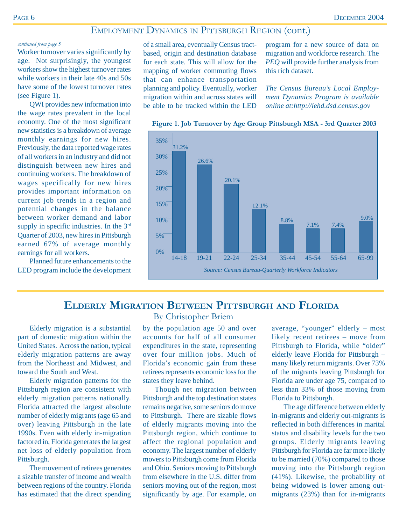### EMPLOYMENT DYNAMICS IN PITTSBURGH REGION (cont.)

#### *continued from page 5*

Worker turnover varies significantly by age. Not surprisingly, the youngest workers show the highest turnover rates while workers in their late 40s and 50s have some of the lowest turnover rates (see Figure 1).

QWI provides new information into the wage rates prevalent in the local economy. One of the most significant new statistics is a breakdown of average monthly earnings for new hires. Previously, the data reported wage rates of all workers in an industry and did not distinguish between new hires and continuing workers. The breakdown of wages specifically for new hires provides important information on current job trends in a region and potential changes in the balance between worker demand and labor supply in specific industries. In the 3<sup>rd</sup> Quarter of 2003, new hires in Pittsburgh earned 67% of average monthly earnings for all workers.

Planned future enhancements to the LED program include the development of a small area, eventually Census tractbased, origin and destination database for each state. This will allow for the mapping of worker commuting flows that can enhance transportation planning and policy. Eventually, worker migration within and across states will be able to be tracked within the LED

program for a new source of data on migration and workforce research. The *PEQ* will provide further analysis from this rich dataset.

*The Census Bureau's Local Employment Dynamics Program is available online at:http://lehd.dsd.census.gov*



**Figure 1. Job Turnover by Age Group Pittsburgh MSA - 3rd Quarter 2003**

### **ELDERLY MIGRATION BETWEEN PITTSBURGH AND FLORIDA**

Elderly migration is a substantial part of domestic migration within the United States. Across the nation, typical elderly migration patterns are away from the Northeast and Midwest, and toward the South and West.

Elderly migration patterns for the Pittsburgh region are consistent with elderly migration patterns nationally. Florida attracted the largest absolute number of elderly migrants (age 65 and over) leaving Pittsburgh in the late 1990s. Even with elderly in-migration factored in, Florida generates the largest net loss of elderly population from Pittsburgh.

The movement of retirees generates a sizable transfer of income and wealth between regions of the country. Florida has estimated that the direct spending

#### By Christopher Briem

by the population age 50 and over accounts for half of all consumer expenditures in the state, representing over four million jobs. Much of Florida's economic gain from these retirees represents economic loss for the states they leave behind.

Though net migration between Pittsburgh and the top destination states remains negative, some seniors do move to Pittsburgh. There are sizable flows of elderly migrants moving into the Pittsburgh region, which continue to affect the regional population and economy. The largest number of elderly movers to Pittsburgh come from Florida and Ohio. Seniors moving to Pittsburgh from elsewhere in the U.S. differ from seniors moving out of the region, most significantly by age. For example, on average, "younger" elderly – most likely recent retirees – move from Pittsburgh to Florida, while "older" elderly leave Florida for Pittsburgh – many likely return migrants. Over 73% of the migrants leaving Pittsburgh for Florida are under age 75, compared to less than 33% of those moving from Florida to Pittsburgh.

The age difference between elderly in-migrants and elderly out-migrants is reflected in both differences in marital status and disability levels for the two groups. Elderly migrants leaving Pittsburgh for Florida are far more likely to be married (70%) compared to those moving into the Pittsburgh region (41%). Likewise, the probability of being widowed is lower among outmigrants (23%) than for in-migrants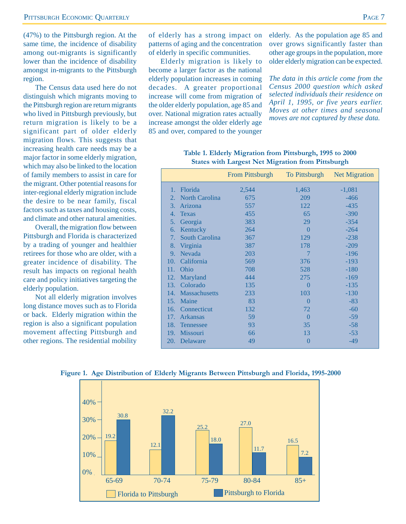(47%) to the Pittsburgh region. At the same time, the incidence of disability among out-migrants is significantly lower than the incidence of disability amongst in-migrants to the Pittsburgh region.

The Census data used here do not distinguish which migrants moving to the Pittsburgh region are return migrants who lived in Pittsburgh previously, but return migration is likely to be a significant part of older elderly migration flows. This suggests that increasing health care needs may be a major factor in some elderly migration, which may also be linked to the location of family members to assist in care for the migrant. Other potential reasons for inter-regional elderly migration include the desire to be near family, fiscal factors such as taxes and housing costs, and climate and other natural amenities.

Overall, the migration flow between Pittsburgh and Florida is characterized by a trading of younger and healthier retirees for those who are older, with a greater incidence of disability. The result has impacts on regional health care and policy initiatives targeting the elderly population.

Not all elderly migration involves long distance moves such as to Florida or back. Elderly migration within the region is also a significant population movement affecting Pittsburgh and other regions. The residential mobility of elderly has a strong impact on patterns of aging and the concentration of elderly in specific communities.

Elderly migration is likely to become a larger factor as the national elderly population increases in coming decades. A greater proportional increase will come from migration of the older elderly population, age 85 and over. National migration rates actually increase amongst the older elderly age 85 and over, compared to the younger

elderly. As the population age 85 and over grows significantly faster than other age groups in the population, more older elderly migration can be expected.

*The data in this article come from the Census 2000 question which asked selected individuals their residence on April 1, 1995, or five years earlier. Moves at other times and seasonal moves are not captured by these data.*

|     |                   | From Pittsburgh |                | To Pittsburgh Net Migration |
|-----|-------------------|-----------------|----------------|-----------------------------|
|     | 1. Florida        | 2,544           | 1,463          | $-1,081$                    |
|     | 2. North Carolina | 675             | 209            | $-466$                      |
| 3.  | Arizona           | 557             | 122            | $-435$                      |
| 4.  | <b>Texas</b>      | 455             | 65             | $-390$                      |
| 5.  | Georgia           | 383             | 29             | $-354$                      |
|     | 6. Kentucky       | 264             | $\theta$       | $-264$                      |
| 7.  | South Carolina    | 367             | 129            | $-238$                      |
| 8.  | Virginia          | 387             | 178            | $-209$                      |
| 9.  | Nevada            | 203             | $\overline{7}$ | $-196$                      |
| 10. | California        | 569             | 376            | $-193$                      |
| 11. | Ohio              | 708             | 528            | $-180$                      |
| 12. | Maryland          | 444             | 275            | $-169$                      |
|     | 13. Colorado      | 135             | $\overline{0}$ | $-135$                      |
|     | 14. Massachusetts | 233             | 103            | $-130$                      |
| 15. | Maine             | 83              | $\theta$       | $-83$                       |
|     | 16. Connecticut   | 132             | 72             | $-60$                       |
| 17. | <b>Arkansas</b>   | 59              | $\theta$       | $-59$                       |
|     | 18. Tennessee     | 93              | 35             | $-58$                       |
|     | 19. Missouri      | 66              | 13             | $-53$                       |
|     | 20. Delaware      | 49              | $\overline{0}$ | $-49$                       |
|     |                   |                 |                |                             |

**Table 1. Elderly Migration from Pittsburgh, 1995 to 2000 States with Largest Net Migration from Pittsburgh**